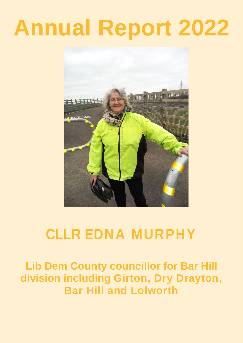# **Annual Report 2022**



# **CLLR EDNA MURPHY**

**Lib Dem County councillor for Bar Hill division including Girton, Dry Drayton, Bar Hill and Lolworth**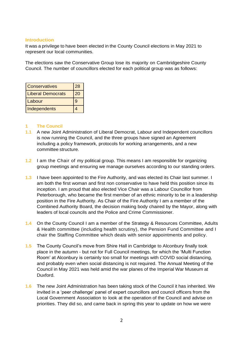#### **Introduction**

It was a privilege to have been elected in the County Council elections in May 2021 to represent our local communities.

The elections saw the Conservative Group lose its majority on Cambridgeshire County Council. The number of councillors elected for each political group was as follows:

| <b>Conservatives</b>     | 28 |
|--------------------------|----|
| <b>Liberal Democrats</b> | 20 |
| Labour                   | g  |
| Independents             |    |

#### **1 The Council**

- **1.1** A new Joint Administration of Liberal Democrat, Labour and Independent councillors is now running the Council, and the three groups have signed an Agreement including a policy framework, protocols for working arrangements, and a new committee structure.
- **1.2** I am the Chair of my political group. This means I am responsible for organizing group meetings and ensuring we manage ourselves according to our standing orders.
- **1.3** I have been appointed to the Fire Authority, and was elected its Chair last summer. I am both the first woman and first non conservative to have held this position since its inception. I am proud that also elected Vice Chair was a Labour Councillor from Peterborough, who became the first member of an ethnic minority to be in a leadership position in the Fire Authority. As Chair of the Fire Authority I am a member of the Combined Authority Board, the decision making body chaired by the Mayor, along with leaders of local councils and the Police and Crime Commissioner.
- **1.4** On the County Council I am a member of the Strategy & Resources Committee, Adults & Health committee (including health scrutiny), the Pension Fund Committee and I chair the Staffing Committee which deals with senior appointments and policy.
- **1.5** The County Council's move from Shire Hall in Cambridge to Alconbury finally took place in the autumn - but not for Full Council meetings, for which the 'Multi Function Room' at Alconbury is certainly too small for meetings with COVID social distancing, and probably even when social distancing is not required. The Annual Meeting of the Council in May 2021 was held amid the war planes of the Imperial War Museum at Duxford.
- **1.6** The new Joint Administration has been taking stock of the Council it has inherited. We invited in a 'peer challenge' panel of expert councillors and council officers from the Local Government Association to look at the operation of the Council and advise on priorities. They did so, and came back in spring this year to update on how we were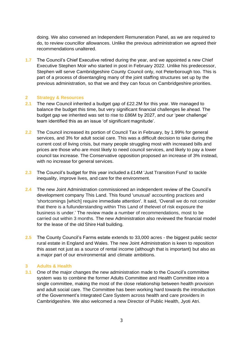doing. We also convened an Independent Remuneration Panel, as we are required to do, to review councillor allowances. Unlike the previous administration we agreed their recommendations unaltered.

**1.7** The Council's Chief Executive retired during the year, and we appointed a new Chief Executive Stephen Moir who started in post in February 2022. Unlike his predecessor, Stephen will serve Cambridgeshire County Council only, not Peterborough too. This is part of a process of disentangling many of the joint staffing structures set up by the previous administration, so that we and they can focus on Cambridgeshire priorities.

#### **2 Strategy & Resources**

- **2.1** The new Council inherited a budget gap of £22.2M for this year. We managed to balance the budget this time, but very significant financial challenges lie ahead. The budget gap we inherited was set to rise to £86M by 2027, and our 'peer challenge' team identified this as an issue 'of significant magnitude'.
- **2.2** The Council increased its portion of Council Tax in February, by 1.99% for general services, and 3% for adult social care. This was a difficult decision to take during the current cost of living crisis, but many people struggling most with increased bills and prices are those who are most likely to need council services, and likely to pay a lower council tax increase. The Conservative opposition proposed an increase of 3% instead, with no increase for general services.
- **2.3** The Council's budget for this year included a £14M 'Just Transition Fund' to tackle inequality, improve lives, and care for the environment.
- **2.4** The new Joint Administration commissioned an independent review of the Council's development company This Land. This found 'unusual' accounting practices and 'shortcomings [which] require immediate attention'. It said, 'Overall we do not consider that there is a fullunderstanding within This Land of thelevel of risk exposure the business is under.' The review made a number of recommendations, most to be carried out within 3 months. The new Administration also reviewed the financial model for the lease of the old Shire Hall building.
- **2.5** The County Council's Farms estate extends to 33,000 acres the biggest public sector rural estate in England and Wales. The new Joint Administration is keen to reposition this asset not just as a source of rental income (although that is important) but also as a major part of our environmental and climate ambitions.

#### **3 Adults & Health**

**3.1** One of the major changes the new administration made to the Council's committee system was to combine the former Adults Committee and Health Committee into a single committee, making the most of the close relationship between health provision and adult social care. The Committee has been working hard towards the introduction of the Government's Integrated Care System across health and care providers in Cambridgeshire. We also welcomed a new Director of Public Health, Jyoti Atri.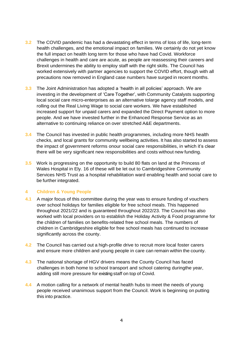- **3.2** The COVID pandemic has had a devastating effect in terms of loss of life, long-term health challenges, and the emotional impact on families. We certainly do not yet know the full impact on health long term for those who have had Covid. Workforce challenges in health and care are acute, as people are reassessing their careers and Brexit undermines the ability to employ staff with the right skills. The Council has worked extensively with partner agencies to support the COVID effort, though with all precautions now removed in England case numbers have surged in recent months.
- **3.3** The Joint Administration has adopted a 'health in all policies' approach. We are investing in the development of 'Care Together', with Community Catalysts supporting local social care micro-enterprises as an alternative tolarge agency staff models, and rolling out the Real Living Wage to social care workers. We have established increased support for unpaid carers and expanded the Direct Payment option to more people. And we have invested further in the Enhanced Response Service as an alternative to continuing reliance on over stretched A&E departments.
- **3.4** The Council has invested in public health programmes, including more NHS health checks, and local grants for community wellbeing activities. It has also started to assess the impact of government reforms onour social care responsibilities, in which it's clear there will be very significant new responsibilities and costs without new funding.
- **3.5** Work is progressing on the opportunity to build 80 flats on land at the Princess of Wales Hospital in Ely. 16 of these will be let out to Cambridgeshire Community Services NHS Trust as a hospital rehabilitation ward enabling health and social care to be further integrated.

# **4 Children & Young People**

- **4.1** A major focus of this committee during the year was to ensure funding of vouchers over school holidays for families eligible for free school meals. This happened throughout 2021/22 and is guaranteed throughout 2022/23. The Council has also worked with local providers on to establish the Holiday Activity & Food programme for the children of families on benefits-related free school meals. The numbers of children in Cambridgeshire eligible for free school meals has continued to increase significantly across the county.
- **4.2** The Council has carried out a high-profile drive to recruit more local foster carers and ensure more children and young people in care can remain within the county.
- **4.3** The national shortage of HGV drivers means the County Council has faced challenges in both home to school transport and school catering duringthe year, adding still more pressure for existing staff on top of Covid.
- **4.4** A motion calling for a network of mental health hubs to meet the needs of young people received unanimous support from the Council. Work is beginning on putting this into practice.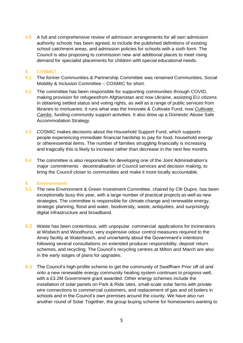**4.5** A full and comprehensive review of admission arrangements for all own admission authority schools has been agreed, to include the published definitions of existing school catchment areas, and admission policies for schools with a sixth form. The Council is also proposing to commission new and additional places to meet rising demand for specialist placements for children with special educational needs.

#### **5 COSMIC!**

- **5.1** The former Communities & Partnership Committee was renamed Communities, Social Mobility & Inclusion Committee – COSMIC for short.
- **5.2** The committee has been responsible for supporting communities through COVID, making provision for refugeesfrom Afghanistan and now Ukraine, assisting EU citizens in obtaining settled status and voting rights, as well as a range of public services from libraries to mortuaries. It runs what was the Innovate & Cultivate Fund, now *Cultivate Cambs*, funding community support activities. It also drew up a Domestic Abuse Safe Accommodation Strategy.
- **5.3** COSMIC makes decisions about the Household Support Fund, which supports people experiencing immediate financial hardship to pay for food, household energy or otheressential items. The number of families struggling financially is increasing and tragically this is likely to increase rather than decrease in the next few months.
- **5.4** The committee is also responsible for developing one of the Joint Administration's major commitments - decentralisation of Council services and decision making, to bring the Council closer to communities and make it more locally accountable.

#### **6 Environment**

- **5.1** The new Environment & Green Investment Committee, chaired by Cllr Dupre, has been exceptionally busy this year, with a large number of practical projects as well as new strategies. The committee is responsible for climate change and renewable energy, strategic planning, flood and water, biodiversity, waste, antiquities, and surprisingly digital infrastructure and broadband.
- **6.2** Waste has been contentious, with unpopular commercial applications for incinerators at Wisbech and Woodhurst, very expensive odour control measures required to the Amey facility at Waterbeach, and uncertainty about the Government's intentions following several consultations on extended producer responsibility, deposit return schemes, and recycling. The Council's recycling centres at Milton and March are also in the early stages of plans for upgrades.
- **6.3** The Council's high-profile scheme to get the community of Swaffham Prior off oil and onto a new renewable energy community heating system continues to progress well, with a £3.2M Government grant awarded. Other energy schemes include the installation of solar panels on Park & Ride sites, small-scale solar farms with private wire connections to commercial customers, and replacement of gas and oil boilers in schools and in the Council's own premises around the county. We have also run another round of Solar Together, the group buying scheme for homeowners wanting to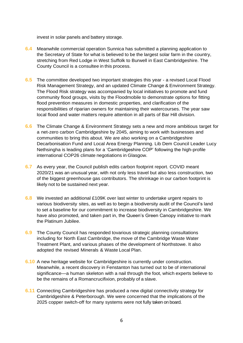invest in solar panels and battery storage.

- **6.4** Meanwhile commercial operation Sunnica has submitted a planning application to the Secretary of State for what is believed to be the largest solar farm in the country, stretching from Red Lodge in West Suffolk to Burwell in East Cambridgeshire. The County Council is a consultee in this process.
- **6.5** The committee developed two important strategies this year a revised Local Flood Risk Management Strategy, and an updated Climate Change & Environment Strategy. The Flood Risk strategy was accompanied by local initiatives to promote and fund community flood groups, visits by the Floodmobile to demonstrate options for fitting flood prevention measures in domestic properties, and clarification of the responsibilities of riparian owners for maintaining their watercourses. The year saw local flood and water matters require attention in all parts of Bar Hill division.
- **6.6** The Climate Change & Environment Strategy sets a new and more ambitious target for a net-zero carbon Cambridgeshire by 2045, aiming to work with businesses and communities to bring this about. We are also working on a Cambridgeshire Decarbonisation Fund and Local Area Energy Planning. Lib Dem Council Leader Lucy Nethsingha is leading plans for a 'Cambridgeshire COP' following the high-profile international COP26 climate negotiations in Glasgow.
- **6.7** As every year, the Council publish edits carbon footprint report. COVID meant 2020/21 was an unusual year, with not only less travel but also less construction, two of the biggest greenhouse gas contributors. The shrinkage in our carbon footprint is likely not to be sustained next year.
- **6.8** We invested an additional £109K over last winter to undertake urgent repairs to various biodiversity sites, as well as to begin a biodiversity audit of the Council's land to set a baseline for our commitment to increase biodiversity in Cambridgeshire. We have also promoted, and taken part in, the Queen's Green Canopy initiative to mark the Platinum Jubilee.
- **6.9** The County Council has responded tovarious strategic planning consultations including for North East Cambridge, the move of the Cambridge Waste Water Treatment Plant, and various phases of the development of Northstowe. It also adopted the revised Minerals & Waste Local Plan.
- **6.10** A new heritage website for Cambridgeshire is currently under construction. Meanwhile, a recent discovery in Fenstanton has turned out to be of international significance—a human skeleton with a nail through the foot, which experts believe to be the remains of a Romancrucifixion, probably of a slave.
- **6.11** Connecting Cambridgeshire has produced a new digital connectivity strategy for Cambridgeshire & Peterborough. We were concerned that the implications of the 2025 copper switch-off for many systems were not fully taken on board.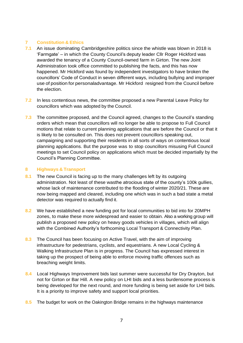# **7 Constitution & Ethics**

- **7.1** An issue dominating Cambridgeshire politics since the whistle was blown in 2018 is 'Farmgate' – in which the County Council's deputy leader Cllr Roger Hickford was awarded the tenancy of a County Council-owned farm in Girton. The new Joint Administration took office committed to publishing the facts, and this has now happened. Mr Hickford was found by independent investigators to have broken the councillors' Code of Conduct in seven different ways, including bullying and improper use of position for personaladvantage. Mr Hickford resigned from the Council before the election.
- **7.2** In less contentious news, the committee proposed a new Parental Leave Policy for councillors which was adopted by the Council.
- **7.3** The committee proposed, and the Council agreed, changes to the Council's standing orders which mean that councillors will no longer be able to propose to Full Council motions that relate to current planning applications that are before the Council or that it is likely to be consulted on. This does not prevent councillors speaking out, campaigning and supporting their residents in all sorts of ways on contentious local planning applications. But the purpose was to stop councillors misusing Full Council meetings to set Council policy on applications which must be decided impartially by the Council's Planning Committee.

# **8 Highways & Transport**

- **8.1** The new Council is facing up to the many challenges left by its outgoing administration. Not least of these wasthe atrocious state of the county's 100k gullies, whose lack of maintenance contributed to the flooding of winter 2020/21. These are now being mapped and cleared, including one which was in such a bad state a metal detector was required to actually find it.
- **8.2** We have established a new funding pot for local communities to bid into for 20MPH zones, to make these more widespread and easier to obtain. Also a working group will publish a proposed new policy on heavy goods vehicles in villages, which will align with the Combined Authority's forthcoming Local Transport & Connectivity Plan.
- **8.3** The Council has been focusing on Active Travel, with the aim of improving infrastructure for pedestrians, cyclists, and equestrians. A new Local Cycling & Walking Infrastructure Plan is in progress. The Council has expressed interest in taking up the prospect of being able to enforce moving traffic offences such as breaching weight limits.
- **8.4** Local Highways Improvement bids last summer were successful for Dry Drayton, but not for Girton or Bar Hill. A new policy on LHI bids and a less burdensome process is being developed for the next round, and more funding is being set aside for LHI bids. It is a priority to improve safety and support local priorities.
- **8.5** The budget for work on the Oakington Bridge remains in the highways maintenance